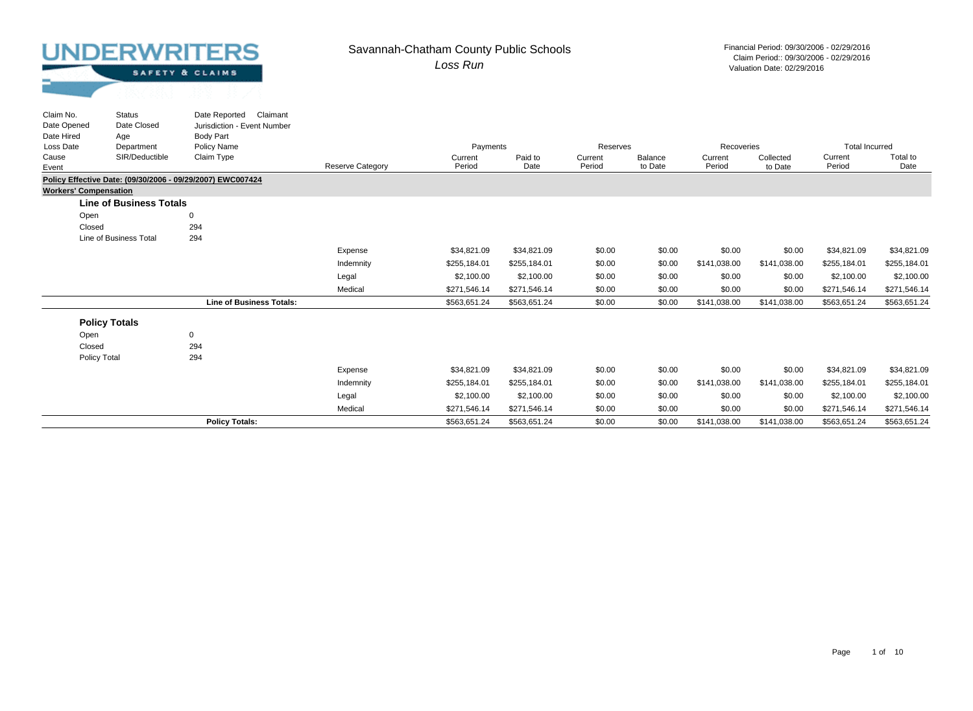Status

Claim No.

#### *Loss Run* Savannah-Chatham County Public Schools Financial Period: 09/30/2006 - 02/29/2016

| SAFETY & CLAIMS |  |
|-----------------|--|
|                 |  |

| Claim No.                    | <b>Status</b>                  | Date Reported<br>Claimant                                  |                         |              |              |          |         |              |              |                       |              |
|------------------------------|--------------------------------|------------------------------------------------------------|-------------------------|--------------|--------------|----------|---------|--------------|--------------|-----------------------|--------------|
| Date Opened                  | Date Closed                    | Jurisdiction - Event Number                                |                         |              |              |          |         |              |              |                       |              |
| Date Hired                   | Age                            | <b>Body Part</b>                                           |                         |              |              |          |         |              |              |                       |              |
| Loss Date                    | Department                     | <b>Policy Name</b>                                         |                         | Payments     |              | Reserves |         | Recoveries   |              | <b>Total Incurred</b> |              |
| Cause                        | SIR/Deductible                 | Claim Type                                                 |                         | Current      | Paid to      | Current  | Balance | Current      | Collected    | Current               | Total to     |
| Event                        |                                |                                                            | <b>Reserve Category</b> | Period       | Date         | Period   | to Date | Period       | to Date      | Period                | Date         |
|                              |                                | Policy Effective Date: (09/30/2006 - 09/29/2007) EWC007424 |                         |              |              |          |         |              |              |                       |              |
| <b>Workers' Compensation</b> |                                |                                                            |                         |              |              |          |         |              |              |                       |              |
|                              | <b>Line of Business Totals</b> |                                                            |                         |              |              |          |         |              |              |                       |              |
| Open                         |                                | 0                                                          |                         |              |              |          |         |              |              |                       |              |
| Closed                       |                                | 294                                                        |                         |              |              |          |         |              |              |                       |              |
|                              | Line of Business Total         | 294                                                        |                         |              |              |          |         |              |              |                       |              |
|                              |                                |                                                            | Expense                 | \$34,821.09  | \$34,821.09  | \$0.00   | \$0.00  | \$0.00       | \$0.00       | \$34,821.09           | \$34,821.09  |
|                              |                                |                                                            | Indemnity               | \$255,184.01 | \$255,184.01 | \$0.00   | \$0.00  | \$141,038.00 | \$141,038.00 | \$255,184.01          | \$255,184.01 |
|                              |                                |                                                            | Legal                   | \$2,100.00   | \$2,100.00   | \$0.00   | \$0.00  | \$0.00       | \$0.00       | \$2,100.00            | \$2,100.00   |
|                              |                                |                                                            | Medical                 | \$271,546.14 | \$271,546.14 | \$0.00   | \$0.00  | \$0.00       | \$0.00       | \$271,546.14          | \$271,546.14 |
|                              |                                | <b>Line of Business Totals:</b>                            |                         | \$563,651.24 | \$563,651.24 | \$0.00   | \$0.00  | \$141,038.00 | \$141,038.00 | \$563,651.24          | \$563,651.24 |
|                              | <b>Policy Totals</b>           |                                                            |                         |              |              |          |         |              |              |                       |              |
| Open                         |                                | 0                                                          |                         |              |              |          |         |              |              |                       |              |
| Closed                       |                                | 294                                                        |                         |              |              |          |         |              |              |                       |              |
| <b>Policy Total</b>          |                                | 294                                                        |                         |              |              |          |         |              |              |                       |              |
|                              |                                |                                                            | Expense                 | \$34,821.09  | \$34,821.09  | \$0.00   | \$0.00  | \$0.00       | \$0.00       | \$34,821.09           | \$34,821.09  |
|                              |                                |                                                            | Indemnity               | \$255,184.01 | \$255,184.01 | \$0.00   | \$0.00  | \$141,038.00 | \$141,038.00 | \$255,184.01          | \$255,184.01 |
|                              |                                |                                                            | Legal                   | \$2,100.00   | \$2,100.00   | \$0.00   | \$0.00  | \$0.00       | \$0.00       | \$2,100.00            | \$2,100.00   |
|                              |                                |                                                            | Medical                 | \$271,546.14 | \$271,546.14 | \$0.00   | \$0.00  | \$0.00       | \$0.00       | \$271,546.14          | \$271,546.14 |
|                              |                                | <b>Policy Totals:</b>                                      |                         | \$563.651.24 | \$563.651.24 | \$0.00   | \$0.00  | \$141,038.00 | \$141.038.00 | \$563.651.24          | \$563.651.24 |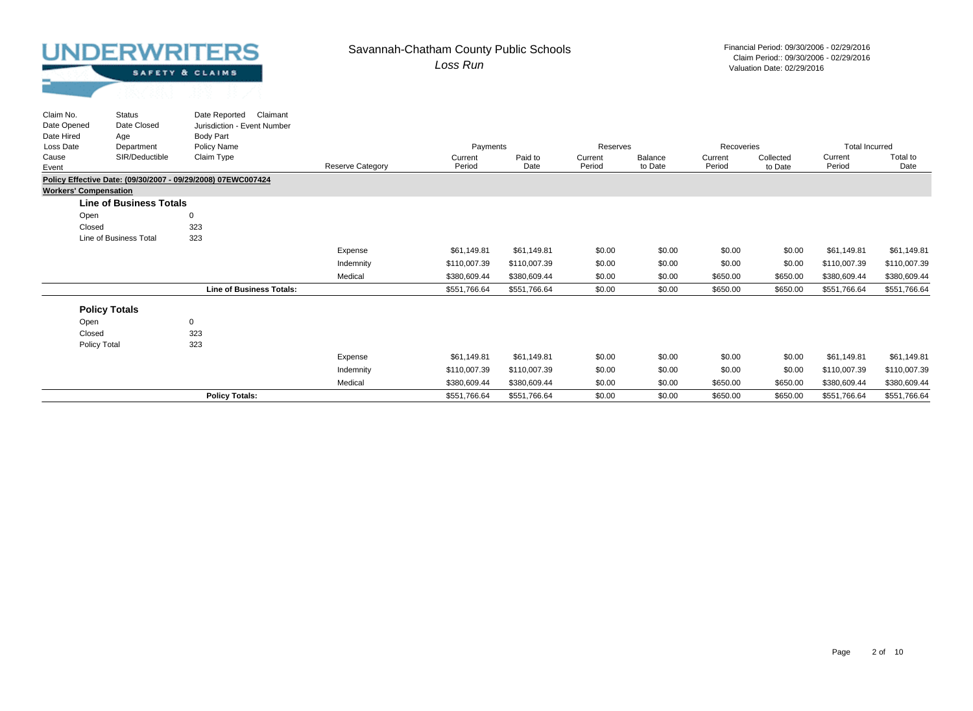#### *Loss Run* Savannah-Chatham County Public Schools Financial Period: 09/30/2006 - 02/29/2016

Valuation Date: 02/29/2016 Claim Period:: 09/30/2006 - 02/29/2016

| Claim No.<br>Date Opened     | <b>Status</b><br>Date Closed   | Claimant<br>Date Reported<br>Jurisdiction - Event Number     |                         |                   |                 |                   |                    |                   |                      |                       |                  |
|------------------------------|--------------------------------|--------------------------------------------------------------|-------------------------|-------------------|-----------------|-------------------|--------------------|-------------------|----------------------|-----------------------|------------------|
| Date Hired                   | Age                            | <b>Body Part</b>                                             |                         |                   |                 |                   |                    |                   |                      |                       |                  |
| Loss Date                    | Department                     | Policy Name                                                  |                         | Payments          |                 | Reserves          |                    | Recoveries        |                      | <b>Total Incurred</b> |                  |
| Cause<br>Event               | SIR/Deductible                 | Claim Type                                                   | <b>Reserve Category</b> | Current<br>Period | Paid to<br>Date | Current<br>Period | Balance<br>to Date | Current<br>Period | Collected<br>to Date | Current<br>Period     | Total to<br>Date |
|                              |                                | Policy Effective Date: (09/30/2007 - 09/29/2008) 07EWC007424 |                         |                   |                 |                   |                    |                   |                      |                       |                  |
| <b>Workers' Compensation</b> |                                |                                                              |                         |                   |                 |                   |                    |                   |                      |                       |                  |
|                              | <b>Line of Business Totals</b> |                                                              |                         |                   |                 |                   |                    |                   |                      |                       |                  |
| Open                         |                                | $\Omega$                                                     |                         |                   |                 |                   |                    |                   |                      |                       |                  |
| Closed                       |                                | 323                                                          |                         |                   |                 |                   |                    |                   |                      |                       |                  |
|                              | Line of Business Total         | 323                                                          |                         |                   |                 |                   |                    |                   |                      |                       |                  |
|                              |                                |                                                              | Expense                 | \$61,149.81       | \$61,149.81     | \$0.00            | \$0.00             | \$0.00            | \$0.00               | \$61,149.81           | \$61,149.81      |
|                              |                                |                                                              | Indemnity               | \$110,007.39      | \$110,007.39    | \$0.00            | \$0.00             | \$0.00            | \$0.00               | \$110,007.39          | \$110,007.39     |
|                              |                                |                                                              | Medical                 | \$380,609.44      | \$380,609.44    | \$0.00            | \$0.00             | \$650.00          | \$650.00             | \$380,609.44          | \$380,609.44     |
|                              |                                | <b>Line of Business Totals:</b>                              |                         | \$551,766.64      | \$551,766.64    | \$0.00            | \$0.00             | \$650.00          | \$650.00             | \$551,766.64          | \$551,766.64     |
|                              | <b>Policy Totals</b>           |                                                              |                         |                   |                 |                   |                    |                   |                      |                       |                  |
| Open                         |                                | 0                                                            |                         |                   |                 |                   |                    |                   |                      |                       |                  |
| Closed                       |                                | 323                                                          |                         |                   |                 |                   |                    |                   |                      |                       |                  |
|                              |                                | 323                                                          |                         |                   |                 |                   |                    |                   |                      |                       |                  |
| Policy Total                 |                                |                                                              |                         |                   |                 |                   |                    |                   |                      |                       |                  |
|                              |                                |                                                              | Expense                 | \$61,149.81       | \$61,149.81     | \$0.00            | \$0.00             | \$0.00            | \$0.00               | \$61,149.81           | \$61,149.81      |
|                              |                                |                                                              | Indemnity               | \$110,007.39      | \$110,007.39    | \$0.00            | \$0.00             | \$0.00            | \$0.00               | \$110,007.39          | \$110,007.39     |
|                              |                                |                                                              | Medical                 | \$380,609.44      | \$380,609.44    | \$0.00            | \$0.00             | \$650.00          | \$650.00             | \$380,609.44          | \$380,609.44     |
|                              |                                | <b>Policy Totals:</b>                                        |                         | \$551,766.64      | \$551,766.64    | \$0.00            | \$0.00             | \$650.00          | \$650.00             | \$551,766.64          | \$551,766.64     |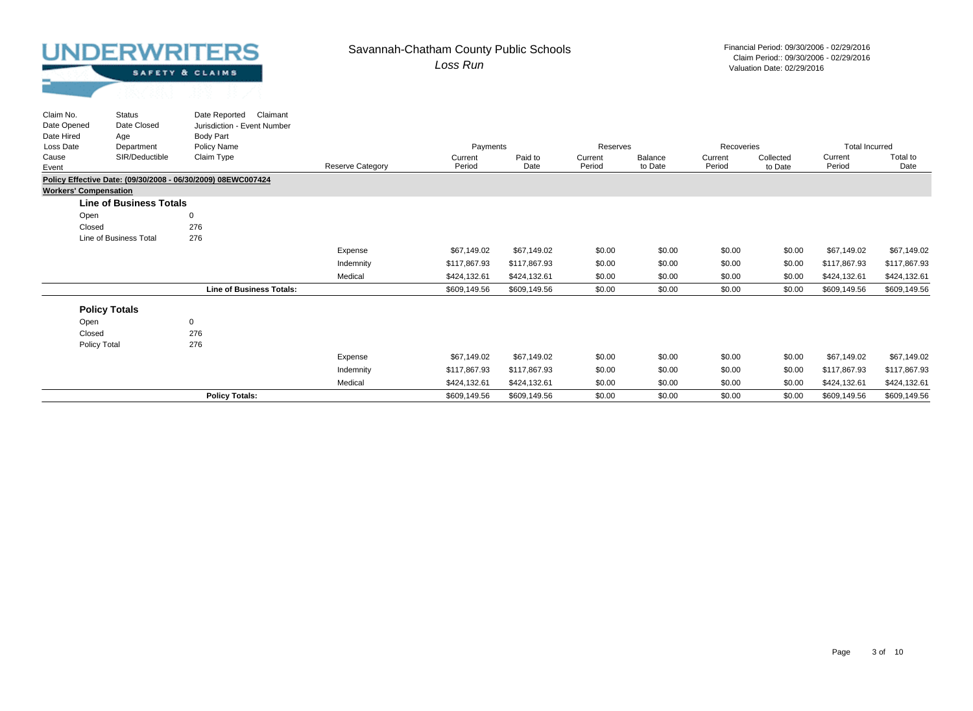#### *Loss Run* Savannah-Chatham County Public Schools Financial Period: 09/30/2006 - 02/29/2016

Valuation Date: 02/29/2016 Claim Period:: 09/30/2006 - 02/29/2016

| Claim No.<br>Date Opened     | <b>Status</b><br>Date Closed   | Claimant<br>Date Reported<br>Jurisdiction - Event Number     |                         |                   |                 |                   |                    |                   |                      |                       |                  |
|------------------------------|--------------------------------|--------------------------------------------------------------|-------------------------|-------------------|-----------------|-------------------|--------------------|-------------------|----------------------|-----------------------|------------------|
| Date Hired                   | Age                            | <b>Body Part</b>                                             |                         |                   |                 |                   |                    |                   |                      |                       |                  |
| Loss Date                    | Department                     | Policy Name                                                  |                         | Payments          |                 | Reserves          |                    | Recoveries        |                      | <b>Total Incurred</b> |                  |
| Cause<br>Event               | SIR/Deductible                 | Claim Type                                                   | <b>Reserve Category</b> | Current<br>Period | Paid to<br>Date | Current<br>Period | Balance<br>to Date | Current<br>Period | Collected<br>to Date | Current<br>Period     | Total to<br>Date |
|                              |                                | Policy Effective Date: (09/30/2008 - 06/30/2009) 08EWC007424 |                         |                   |                 |                   |                    |                   |                      |                       |                  |
| <b>Workers' Compensation</b> |                                |                                                              |                         |                   |                 |                   |                    |                   |                      |                       |                  |
|                              | <b>Line of Business Totals</b> |                                                              |                         |                   |                 |                   |                    |                   |                      |                       |                  |
| Open                         |                                | $\mathbf 0$                                                  |                         |                   |                 |                   |                    |                   |                      |                       |                  |
| Closed                       |                                | 276                                                          |                         |                   |                 |                   |                    |                   |                      |                       |                  |
|                              | Line of Business Total         | 276                                                          |                         |                   |                 |                   |                    |                   |                      |                       |                  |
|                              |                                |                                                              | Expense                 | \$67,149.02       | \$67,149.02     | \$0.00            | \$0.00             | \$0.00            | \$0.00               | \$67,149.02           | \$67,149.02      |
|                              |                                |                                                              | Indemnity               | \$117,867.93      | \$117,867.93    | \$0.00            | \$0.00             | \$0.00            | \$0.00               | \$117,867.93          | \$117,867.93     |
|                              |                                |                                                              | Medical                 | \$424,132.61      | \$424,132.61    | \$0.00            | \$0.00             | \$0.00            | \$0.00               | \$424,132.61          | \$424,132.61     |
|                              |                                | <b>Line of Business Totals:</b>                              |                         | \$609,149.56      | \$609,149.56    | \$0.00            | \$0.00             | \$0.00            | \$0.00               | \$609,149.56          | \$609,149.56     |
|                              | <b>Policy Totals</b>           |                                                              |                         |                   |                 |                   |                    |                   |                      |                       |                  |
| Open                         |                                | 0                                                            |                         |                   |                 |                   |                    |                   |                      |                       |                  |
| Closed                       |                                | 276                                                          |                         |                   |                 |                   |                    |                   |                      |                       |                  |
| Policy Total                 |                                | 276                                                          |                         |                   |                 |                   |                    |                   |                      |                       |                  |
|                              |                                |                                                              | Expense                 | \$67,149.02       | \$67,149.02     | \$0.00            | \$0.00             | \$0.00            | \$0.00               | \$67,149.02           | \$67,149.02      |
|                              |                                |                                                              | Indemnity               | \$117,867.93      | \$117,867.93    | \$0.00            | \$0.00             | \$0.00            | \$0.00               | \$117,867.93          | \$117,867.93     |
|                              |                                |                                                              | Medical                 | \$424,132.61      | \$424,132.61    | \$0.00            | \$0.00             | \$0.00            | \$0.00               | \$424,132.61          | \$424,132.61     |
|                              |                                | <b>Policy Totals:</b>                                        |                         | \$609,149.56      | \$609,149.56    | \$0.00            | \$0.00             | \$0.00            | \$0.00               | \$609,149.56          | \$609,149.56     |
|                              |                                |                                                              |                         |                   |                 |                   |                    |                   |                      |                       |                  |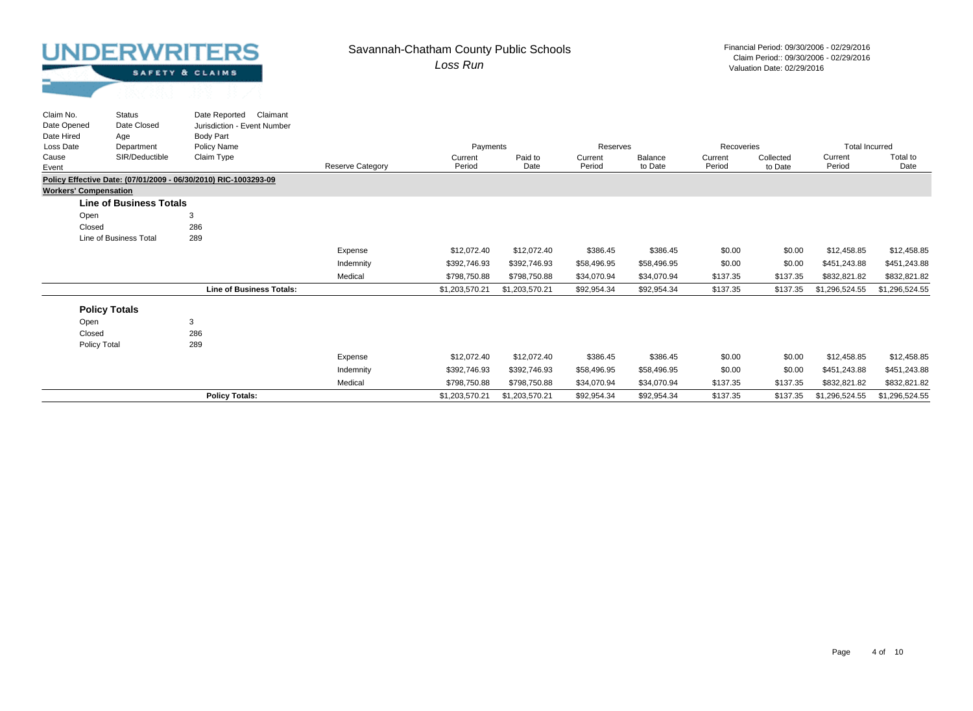Status

Claim No.

#### *Loss Run* Savannah-Chatham County Public Schools Financial Period: 09/30/2006 - 02/29/2016

| SAFETY & CLAIMS |  |  |
|-----------------|--|--|
|                 |  |  |

| Claim No.                    | <b>Status</b>                  | Date Reported<br>Claimant                                       |                         |                |                |             |             |            |           |                       |                |
|------------------------------|--------------------------------|-----------------------------------------------------------------|-------------------------|----------------|----------------|-------------|-------------|------------|-----------|-----------------------|----------------|
| Date Opened                  | Date Closed                    | Jurisdiction - Event Number                                     |                         |                |                |             |             |            |           |                       |                |
| Date Hired                   | Age                            | Body Part                                                       |                         |                |                |             |             |            |           |                       |                |
| Loss Date                    | Department                     | Policy Name                                                     |                         | Payments       |                | Reserves    |             | Recoveries |           | <b>Total Incurred</b> |                |
| Cause                        | SIR/Deductible                 | Claim Type                                                      |                         | Current        | Paid to        | Current     | Balance     | Current    | Collected | Current               | Total to       |
| Event                        |                                |                                                                 | <b>Reserve Category</b> | Period         | Date           | Period      | to Date     | Period     | to Date   | Period                | Date           |
|                              |                                | Policy Effective Date: (07/01/2009 - 06/30/2010) RIC-1003293-09 |                         |                |                |             |             |            |           |                       |                |
| <b>Workers' Compensation</b> |                                |                                                                 |                         |                |                |             |             |            |           |                       |                |
|                              | <b>Line of Business Totals</b> |                                                                 |                         |                |                |             |             |            |           |                       |                |
| Open                         |                                | 3                                                               |                         |                |                |             |             |            |           |                       |                |
| Closed                       |                                | 286                                                             |                         |                |                |             |             |            |           |                       |                |
|                              | Line of Business Total         | 289                                                             |                         |                |                |             |             |            |           |                       |                |
|                              |                                |                                                                 | Expense                 | \$12,072.40    | \$12,072.40    | \$386.45    | \$386.45    | \$0.00     | \$0.00    | \$12,458.85           | \$12,458.85    |
|                              |                                |                                                                 | Indemnity               | \$392,746.93   | \$392,746.93   | \$58,496.95 | \$58,496.95 | \$0.00     | \$0.00    | \$451,243.88          | \$451,243.88   |
|                              |                                |                                                                 | Medical                 | \$798,750.88   | \$798,750.88   | \$34,070.94 | \$34,070.94 | \$137.35   | \$137.35  | \$832,821.82          | \$832,821.82   |
|                              |                                | <b>Line of Business Totals:</b>                                 |                         | \$1,203,570.21 | \$1,203,570.21 | \$92,954.34 | \$92,954.34 | \$137.35   | \$137.35  | \$1,296,524.55        | \$1,296,524.55 |
|                              | <b>Policy Totals</b>           |                                                                 |                         |                |                |             |             |            |           |                       |                |
|                              |                                |                                                                 |                         |                |                |             |             |            |           |                       |                |
| Open                         |                                | 3                                                               |                         |                |                |             |             |            |           |                       |                |
| Closed                       |                                | 286                                                             |                         |                |                |             |             |            |           |                       |                |
| Policy Total                 |                                | 289                                                             |                         |                |                |             |             |            |           |                       |                |
|                              |                                |                                                                 | Expense                 | \$12,072.40    | \$12,072.40    | \$386.45    | \$386.45    | \$0.00     | \$0.00    | \$12,458.85           | \$12,458.85    |
|                              |                                |                                                                 | Indemnity               | \$392,746.93   | \$392,746.93   | \$58,496.95 | \$58,496.95 | \$0.00     | \$0.00    | \$451,243.88          | \$451,243.88   |
|                              |                                |                                                                 | Medical                 | \$798,750.88   | \$798,750.88   | \$34,070.94 | \$34,070.94 | \$137.35   | \$137.35  | \$832,821.82          | \$832,821.82   |
|                              |                                | <b>Policy Totals:</b>                                           |                         | \$1,203,570.21 | \$1,203,570.21 | \$92,954.34 | \$92,954.34 | \$137.35   | \$137.35  | \$1,296,524.55        | \$1,296,524.55 |
|                              |                                |                                                                 |                         |                |                |             |             |            |           |                       |                |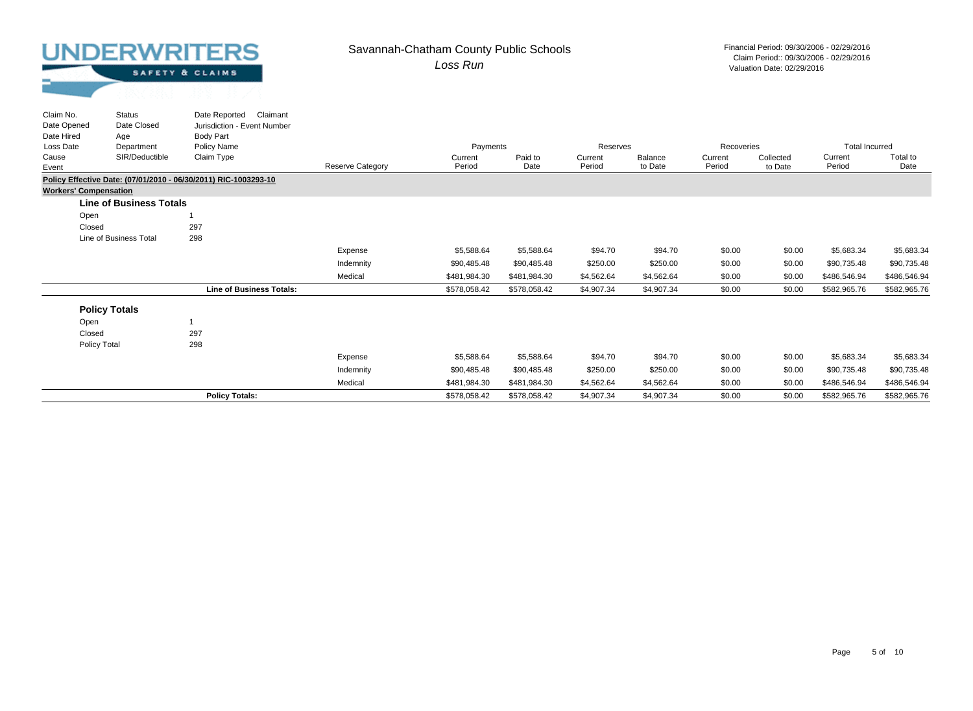#### *Loss Run* Savannah-Chatham County Public Schools Financial Period: 09/30/2006 - 02/29/2016

Valuation Date: 02/29/2016 Claim Period:: 09/30/2006 - 02/29/2016

| Claim No.<br>Date Opened     | <b>Status</b><br>Date Closed   | Claimant<br>Date Reported<br>Jurisdiction - Event Number        |                         |                   |                 |                   |                    |                   |                      |                       |                  |
|------------------------------|--------------------------------|-----------------------------------------------------------------|-------------------------|-------------------|-----------------|-------------------|--------------------|-------------------|----------------------|-----------------------|------------------|
| Date Hired                   | Age                            | Body Part                                                       |                         |                   |                 |                   |                    |                   |                      |                       |                  |
| Loss Date                    | Department                     | Policy Name                                                     |                         | Payments          |                 | Reserves          |                    | Recoveries        |                      | <b>Total Incurred</b> |                  |
| Cause<br>Event               | SIR/Deductible                 | Claim Type                                                      | <b>Reserve Category</b> | Current<br>Period | Paid to<br>Date | Current<br>Period | Balance<br>to Date | Current<br>Period | Collected<br>to Date | Current<br>Period     | Total to<br>Date |
|                              |                                | Policy Effective Date: (07/01/2010 - 06/30/2011) RIC-1003293-10 |                         |                   |                 |                   |                    |                   |                      |                       |                  |
| <b>Workers' Compensation</b> |                                |                                                                 |                         |                   |                 |                   |                    |                   |                      |                       |                  |
|                              | <b>Line of Business Totals</b> |                                                                 |                         |                   |                 |                   |                    |                   |                      |                       |                  |
| Open                         |                                |                                                                 |                         |                   |                 |                   |                    |                   |                      |                       |                  |
| Closed                       |                                | 297                                                             |                         |                   |                 |                   |                    |                   |                      |                       |                  |
|                              | Line of Business Total         | 298                                                             |                         |                   |                 |                   |                    |                   |                      |                       |                  |
|                              |                                |                                                                 | Expense                 | \$5,588.64        | \$5,588.64      | \$94.70           | \$94.70            | \$0.00            | \$0.00               | \$5,683.34            | \$5,683.34       |
|                              |                                |                                                                 | Indemnity               | \$90,485.48       | \$90,485.48     | \$250.00          | \$250.00           | \$0.00            | \$0.00               | \$90,735.48           | \$90,735.48      |
|                              |                                |                                                                 | Medical                 | \$481,984.30      | \$481,984.30    | \$4,562.64        | \$4,562.64         | \$0.00            | \$0.00               | \$486,546.94          | \$486,546.94     |
|                              |                                | <b>Line of Business Totals:</b>                                 |                         | \$578,058.42      | \$578,058.42    | \$4,907.34        | \$4,907.34         | \$0.00            | \$0.00               | \$582,965.76          | \$582,965.76     |
|                              | <b>Policy Totals</b>           |                                                                 |                         |                   |                 |                   |                    |                   |                      |                       |                  |
| Open                         |                                |                                                                 |                         |                   |                 |                   |                    |                   |                      |                       |                  |
| Closed                       |                                | 297                                                             |                         |                   |                 |                   |                    |                   |                      |                       |                  |
| Policy Total                 |                                | 298                                                             |                         |                   |                 |                   |                    |                   |                      |                       |                  |
|                              |                                |                                                                 | Expense                 | \$5,588.64        | \$5,588.64      | \$94.70           | \$94.70            | \$0.00            | \$0.00               | \$5,683.34            | \$5,683.34       |
|                              |                                |                                                                 | Indemnity               | \$90,485.48       | \$90,485.48     | \$250.00          | \$250.00           | \$0.00            | \$0.00               | \$90,735.48           | \$90,735.48      |
|                              |                                |                                                                 | Medical                 | \$481,984.30      | \$481,984.30    | \$4,562.64        | \$4,562.64         | \$0.00            | \$0.00               | \$486,546.94          | \$486,546.94     |
|                              |                                | <b>Policy Totals:</b>                                           |                         | \$578,058.42      | \$578,058.42    | \$4,907.34        | \$4,907.34         | \$0.00            | \$0.00               | \$582,965.76          | \$582,965.76     |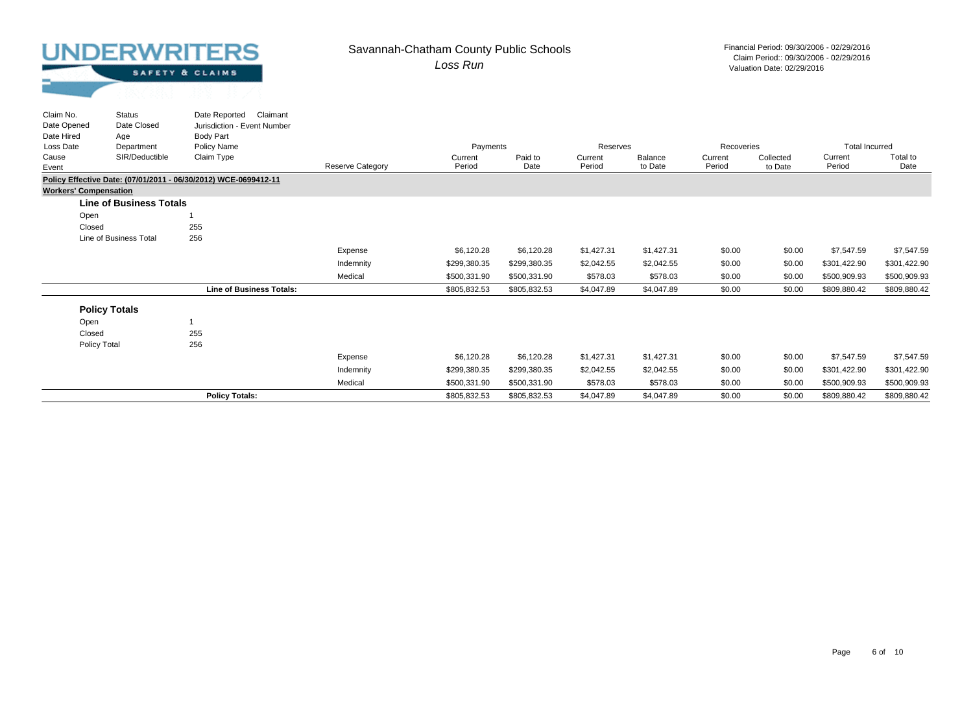Status

Claim No.

#### *Loss Run* Savannah-Chatham County Public Schools Financial Period: 09/30/2006 - 02/29/2016

|  | SAFETY & CLAIMS |  |
|--|-----------------|--|
|  |                 |  |

| Claim No.                    | <b>Status</b>                  | Date Reported<br>Claimant                                       |                         |              |              |            |            |            |           |                       |              |
|------------------------------|--------------------------------|-----------------------------------------------------------------|-------------------------|--------------|--------------|------------|------------|------------|-----------|-----------------------|--------------|
| Date Opened                  | Date Closed                    | Jurisdiction - Event Number                                     |                         |              |              |            |            |            |           |                       |              |
| Date Hired                   | Age                            | Body Part                                                       |                         |              |              |            |            |            |           |                       |              |
| Loss Date                    | Department                     | Policy Name                                                     |                         | Payments     |              | Reserves   |            | Recoveries |           | <b>Total Incurred</b> |              |
| Cause                        | SIR/Deductible                 | Claim Type                                                      |                         | Current      | Paid to      | Current    | Balance    | Current    | Collected | Current               | Total to     |
| Event                        |                                |                                                                 | <b>Reserve Category</b> | Period       | Date         | Period     | to Date    | Period     | to Date   | Period                | Date         |
|                              |                                | Policy Effective Date: (07/01/2011 - 06/30/2012) WCE-0699412-11 |                         |              |              |            |            |            |           |                       |              |
| <b>Workers' Compensation</b> |                                |                                                                 |                         |              |              |            |            |            |           |                       |              |
|                              | <b>Line of Business Totals</b> |                                                                 |                         |              |              |            |            |            |           |                       |              |
| Open                         |                                |                                                                 |                         |              |              |            |            |            |           |                       |              |
| Closed                       |                                | 255                                                             |                         |              |              |            |            |            |           |                       |              |
|                              | Line of Business Total         | 256                                                             |                         |              |              |            |            |            |           |                       |              |
|                              |                                |                                                                 | Expense                 | \$6,120.28   | \$6,120.28   | \$1,427.31 | \$1,427.31 | \$0.00     | \$0.00    | \$7,547.59            | \$7,547.59   |
|                              |                                |                                                                 | Indemnity               | \$299,380.35 | \$299,380.35 | \$2,042.55 | \$2,042.55 | \$0.00     | \$0.00    | \$301,422.90          | \$301,422.90 |
|                              |                                |                                                                 | Medical                 | \$500,331.90 | \$500,331.90 | \$578.03   | \$578.03   | \$0.00     | \$0.00    | \$500,909.93          | \$500,909.93 |
|                              |                                | <b>Line of Business Totals:</b>                                 |                         | \$805,832.53 | \$805,832.53 | \$4,047.89 | \$4,047.89 | \$0.00     | \$0.00    | \$809,880.42          | \$809,880.42 |
|                              | <b>Policy Totals</b>           |                                                                 |                         |              |              |            |            |            |           |                       |              |
|                              |                                |                                                                 |                         |              |              |            |            |            |           |                       |              |
| Open                         |                                |                                                                 |                         |              |              |            |            |            |           |                       |              |
| Closed                       |                                | 255                                                             |                         |              |              |            |            |            |           |                       |              |
| Policy Total                 |                                | 256                                                             |                         |              |              |            |            |            |           |                       |              |
|                              |                                |                                                                 | Expense                 | \$6,120.28   | \$6,120.28   | \$1,427.31 | \$1,427.31 | \$0.00     | \$0.00    | \$7,547.59            | \$7,547.59   |
|                              |                                |                                                                 | Indemnity               | \$299,380.35 | \$299,380.35 | \$2,042.55 | \$2,042.55 | \$0.00     | \$0.00    | \$301,422.90          | \$301,422.90 |
|                              |                                |                                                                 | Medical                 | \$500,331.90 | \$500,331.90 | \$578.03   | \$578.03   | \$0.00     | \$0.00    | \$500,909.93          | \$500,909.93 |
|                              |                                | <b>Policy Totals:</b>                                           |                         | \$805,832.53 | \$805,832.53 | \$4,047.89 | \$4,047.89 | \$0.00     | \$0.00    | \$809,880.42          | \$809,880.42 |
|                              |                                |                                                                 |                         |              |              |            |            |            |           |                       |              |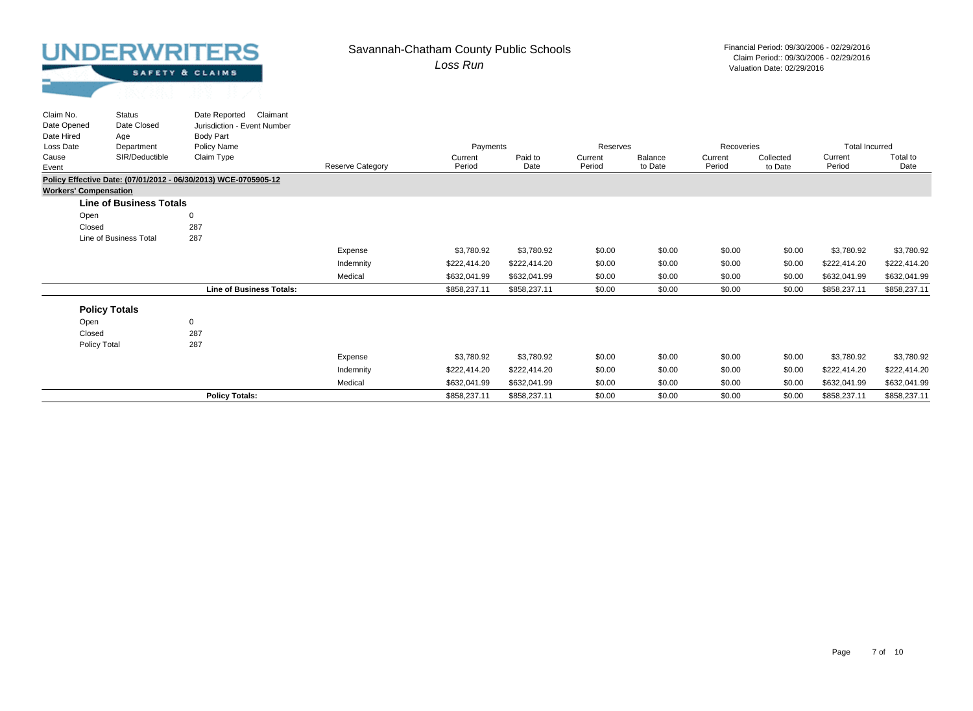#### *Loss Run* Savannah-Chatham County Public Schools Financial Period: 09/30/2006 - 02/29/2016

Valuation Date: 02/29/2016 Claim Period:: 09/30/2006 - 02/29/2016

| Claim No.<br>Date Opened     | Status<br>Date Closed          | Date Reported Claimant<br>Jurisdiction - Event Number           |                         |                   |                 |                   |                    |                   |                      |                       |                  |
|------------------------------|--------------------------------|-----------------------------------------------------------------|-------------------------|-------------------|-----------------|-------------------|--------------------|-------------------|----------------------|-----------------------|------------------|
| Date Hired                   | Age                            | <b>Body Part</b>                                                |                         |                   |                 |                   |                    |                   |                      |                       |                  |
| Loss Date                    | Department                     | Policy Name                                                     |                         | Payments          |                 | Reserves          |                    | Recoveries        |                      | <b>Total Incurred</b> |                  |
| Cause<br>Event               | SIR/Deductible                 | Claim Type                                                      | <b>Reserve Category</b> | Current<br>Period | Paid to<br>Date | Current<br>Period | Balance<br>to Date | Current<br>Period | Collected<br>to Date | Current<br>Period     | Total to<br>Date |
|                              |                                | Policy Effective Date: (07/01/2012 - 06/30/2013) WCE-0705905-12 |                         |                   |                 |                   |                    |                   |                      |                       |                  |
| <b>Workers' Compensation</b> |                                |                                                                 |                         |                   |                 |                   |                    |                   |                      |                       |                  |
|                              | <b>Line of Business Totals</b> |                                                                 |                         |                   |                 |                   |                    |                   |                      |                       |                  |
| Open                         |                                | $\mathbf 0$                                                     |                         |                   |                 |                   |                    |                   |                      |                       |                  |
| Closed                       |                                | 287                                                             |                         |                   |                 |                   |                    |                   |                      |                       |                  |
|                              | Line of Business Total         | 287                                                             |                         |                   |                 |                   |                    |                   |                      |                       |                  |
|                              |                                |                                                                 | Expense                 | \$3,780.92        | \$3,780.92      | \$0.00            | \$0.00             | \$0.00            | \$0.00               | \$3,780.92            | \$3,780.92       |
|                              |                                |                                                                 | Indemnity               | \$222,414.20      | \$222,414.20    | \$0.00            | \$0.00             | \$0.00            | \$0.00               | \$222,414.20          | \$222,414.20     |
|                              |                                |                                                                 | Medical                 | \$632,041.99      | \$632,041.99    | \$0.00            | \$0.00             | \$0.00            | \$0.00               | \$632,041.99          | \$632,041.99     |
|                              |                                | <b>Line of Business Totals:</b>                                 |                         | \$858,237.11      | \$858,237.11    | \$0.00            | \$0.00             | \$0.00            | \$0.00               | \$858,237.11          | \$858,237.11     |
|                              | <b>Policy Totals</b>           |                                                                 |                         |                   |                 |                   |                    |                   |                      |                       |                  |
| Open                         |                                | $\mathbf 0$                                                     |                         |                   |                 |                   |                    |                   |                      |                       |                  |
| Closed                       |                                | 287                                                             |                         |                   |                 |                   |                    |                   |                      |                       |                  |
| Policy Total                 |                                | 287                                                             |                         |                   |                 |                   |                    |                   |                      |                       |                  |
|                              |                                |                                                                 | Expense                 | \$3,780.92        | \$3,780.92      | \$0.00            | \$0.00             | \$0.00            | \$0.00               | \$3,780.92            | \$3,780.92       |
|                              |                                |                                                                 | Indemnity               | \$222.414.20      | \$222,414.20    | \$0.00            | \$0.00             | \$0.00            | \$0.00               | \$222,414.20          | \$222,414.20     |
|                              |                                |                                                                 | Medical                 | \$632,041.99      | \$632,041.99    | \$0.00            | \$0.00             | \$0.00            | \$0.00               | \$632,041.99          | \$632,041.99     |
|                              |                                | <b>Policy Totals:</b>                                           |                         | \$858,237.11      | \$858,237.11    | \$0.00            | \$0.00             | \$0.00            | \$0.00               | \$858,237.11          | \$858,237.11     |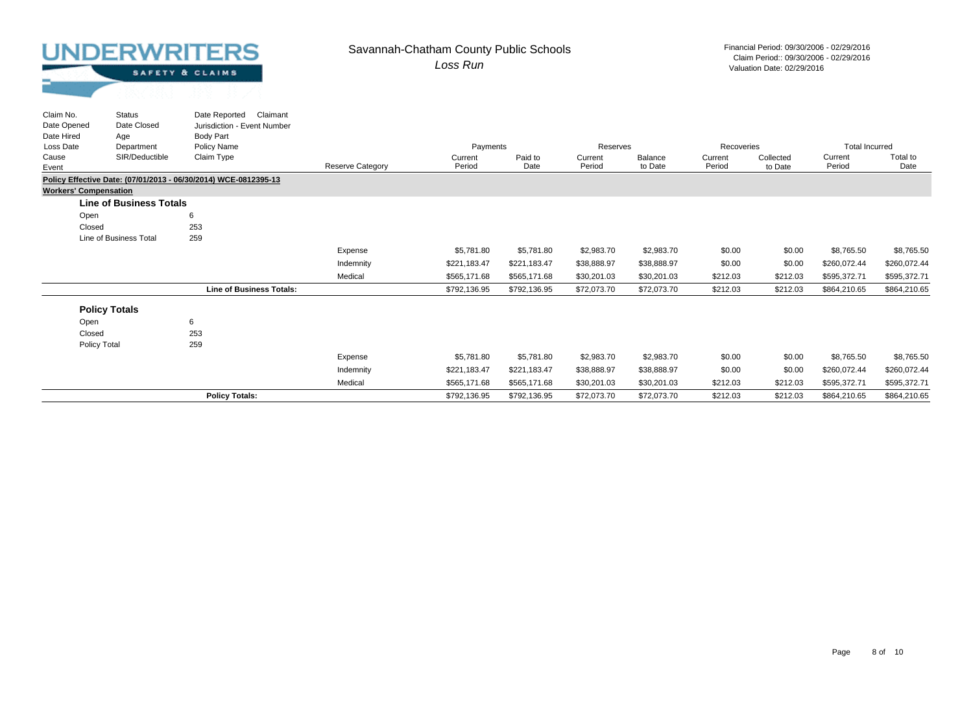Status

Claim No.

#### *Loss Run* Savannah-Chatham County Public Schools Financial Period: 09/30/2006 - 02/29/2016

| SAFETY & CLAIMS |  |
|-----------------|--|
|                 |  |

| Claim No.                    | <b>Status</b>                  | Date Reported<br>Claimant                                       |                         |              |              |             |             |            |           |                       |              |
|------------------------------|--------------------------------|-----------------------------------------------------------------|-------------------------|--------------|--------------|-------------|-------------|------------|-----------|-----------------------|--------------|
| Date Opened                  | Date Closed                    | Jurisdiction - Event Number                                     |                         |              |              |             |             |            |           |                       |              |
| Date Hired                   | Age                            | <b>Body Part</b>                                                |                         |              |              |             |             |            |           |                       |              |
| Loss Date                    | Department                     | Policy Name                                                     |                         | Payments     |              | Reserves    |             | Recoveries |           | <b>Total Incurred</b> |              |
| Cause                        | SIR/Deductible                 | Claim Type                                                      |                         | Current      | Paid to      | Current     | Balance     | Current    | Collected | Current               | Total to     |
| Event                        |                                |                                                                 | <b>Reserve Category</b> | Period       | Date         | Period      | to Date     | Period     | to Date   | Period                | Date         |
|                              |                                | Policy Effective Date: (07/01/2013 - 06/30/2014) WCE-0812395-13 |                         |              |              |             |             |            |           |                       |              |
| <b>Workers' Compensation</b> |                                |                                                                 |                         |              |              |             |             |            |           |                       |              |
|                              | <b>Line of Business Totals</b> |                                                                 |                         |              |              |             |             |            |           |                       |              |
| Open                         |                                | 6                                                               |                         |              |              |             |             |            |           |                       |              |
| Closed                       |                                | 253                                                             |                         |              |              |             |             |            |           |                       |              |
|                              | Line of Business Total         | 259                                                             |                         |              |              |             |             |            |           |                       |              |
|                              |                                |                                                                 | Expense                 | \$5,781.80   | \$5,781.80   | \$2,983.70  | \$2,983.70  | \$0.00     | \$0.00    | \$8,765.50            | \$8,765.50   |
|                              |                                |                                                                 | Indemnity               | \$221,183.47 | \$221,183.47 | \$38,888.97 | \$38,888.97 | \$0.00     | \$0.00    | \$260,072.44          | \$260,072.44 |
|                              |                                |                                                                 | Medical                 | \$565.171.68 | \$565,171.68 | \$30,201.03 | \$30,201.03 | \$212.03   | \$212.03  | \$595,372.71          | \$595,372.71 |
|                              |                                | <b>Line of Business Totals:</b>                                 |                         | \$792,136.95 | \$792,136.95 | \$72,073.70 | \$72,073.70 | \$212.03   | \$212.03  | \$864,210.65          | \$864,210.65 |
|                              | <b>Policy Totals</b>           |                                                                 |                         |              |              |             |             |            |           |                       |              |
|                              |                                |                                                                 |                         |              |              |             |             |            |           |                       |              |
| Open                         |                                | 6                                                               |                         |              |              |             |             |            |           |                       |              |
| Closed                       |                                | 253                                                             |                         |              |              |             |             |            |           |                       |              |
| Policy Total                 |                                | 259                                                             |                         |              |              |             |             |            |           |                       |              |
|                              |                                |                                                                 | Expense                 | \$5,781.80   | \$5,781.80   | \$2,983.70  | \$2,983.70  | \$0.00     | \$0.00    | \$8,765.50            | \$8,765.50   |
|                              |                                |                                                                 | Indemnity               | \$221,183.47 | \$221,183.47 | \$38,888.97 | \$38,888.97 | \$0.00     | \$0.00    | \$260,072.44          | \$260,072.44 |
|                              |                                |                                                                 | Medical                 | \$565,171.68 | \$565,171.68 | \$30,201.03 | \$30,201.03 | \$212.03   | \$212.03  | \$595,372.71          | \$595,372.71 |
|                              |                                | <b>Policy Totals:</b>                                           |                         | \$792,136.95 | \$792,136.95 | \$72,073.70 | \$72,073.70 | \$212.03   | \$212.03  | \$864,210.65          | \$864,210.65 |
|                              |                                |                                                                 |                         |              |              |             |             |            |           |                       |              |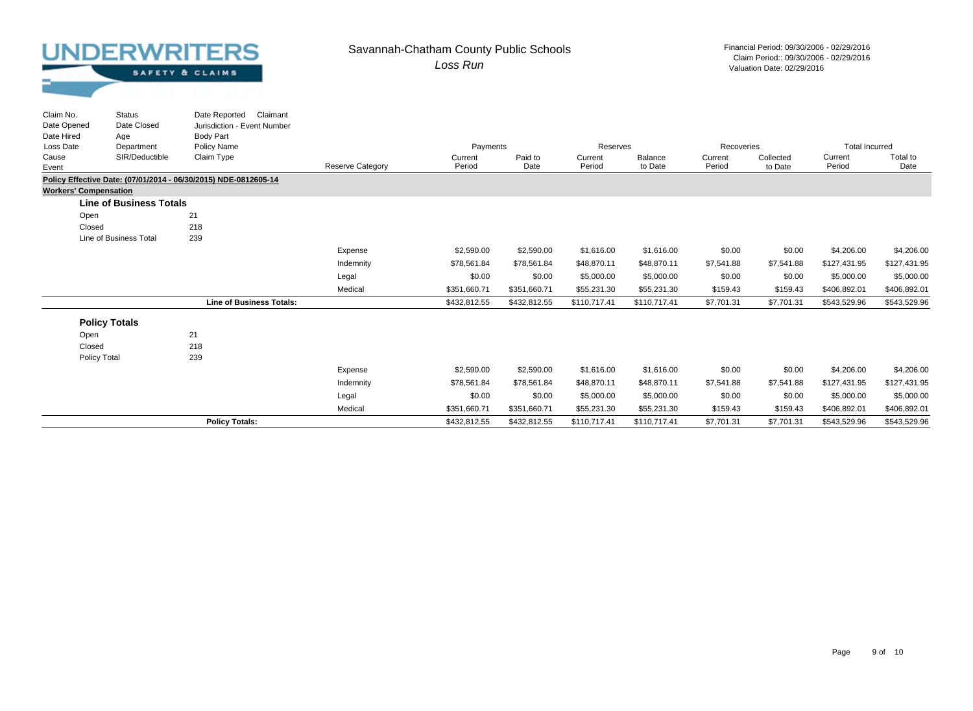Status

Claim No.

#### *Loss Run* Savannah-Chatham County Public Schools Financial Period: 09/30/2006 - 02/29/2016

Valuation Date: 02/29/2016 Claim Period:: 09/30/2006 - 02/29/2016

| SAFETY & CLAIMS |  |
|-----------------|--|
|                 |  |

Date Reported Claimant

| Date Opened<br>Date Hired    | Date Closed<br>Age             | Jurisdiction - Event Number<br>Body Part                        |                         |                   |                 |                   |                    |                   |                      |                       |                  |
|------------------------------|--------------------------------|-----------------------------------------------------------------|-------------------------|-------------------|-----------------|-------------------|--------------------|-------------------|----------------------|-----------------------|------------------|
| Loss Date<br>Department      |                                | Policy Name                                                     |                         | Payments          |                 | Reserves          |                    | Recoveries        |                      | <b>Total Incurred</b> |                  |
| Cause<br>Event               | SIR/Deductible                 | Claim Type                                                      | <b>Reserve Category</b> | Current<br>Period | Paid to<br>Date | Current<br>Period | Balance<br>to Date | Current<br>Period | Collected<br>to Date | Current<br>Period     | Total to<br>Date |
|                              |                                | Policy Effective Date: (07/01/2014 - 06/30/2015) NDE-0812605-14 |                         |                   |                 |                   |                    |                   |                      |                       |                  |
| <b>Workers' Compensation</b> |                                |                                                                 |                         |                   |                 |                   |                    |                   |                      |                       |                  |
|                              | <b>Line of Business Totals</b> |                                                                 |                         |                   |                 |                   |                    |                   |                      |                       |                  |
| Open                         |                                | 21                                                              |                         |                   |                 |                   |                    |                   |                      |                       |                  |
| Closed                       |                                | 218                                                             |                         |                   |                 |                   |                    |                   |                      |                       |                  |
|                              | Line of Business Total         | 239                                                             |                         |                   |                 |                   |                    |                   |                      |                       |                  |
|                              |                                |                                                                 | Expense                 | \$2,590.00        | \$2,590.00      | \$1,616.00        | \$1,616.00         | \$0.00            | \$0.00               | \$4,206.00            | \$4,206.00       |
|                              |                                |                                                                 | Indemnity               | \$78,561.84       | \$78,561.84     | \$48,870.11       | \$48,870.11        | \$7,541.88        | \$7,541.88           | \$127,431.95          | \$127,431.95     |
|                              |                                |                                                                 | Legal                   | \$0.00            | \$0.00          | \$5,000.00        | \$5,000.00         | \$0.00            | \$0.00               | \$5,000.00            | \$5,000.00       |
|                              |                                |                                                                 | Medical                 | \$351,660.71      | \$351,660.71    | \$55,231.30       | \$55,231.30        | \$159.43          | \$159.43             | \$406,892.01          | \$406,892.01     |
|                              |                                | <b>Line of Business Totals:</b>                                 |                         | \$432,812.55      | \$432,812.55    | \$110,717.41      | \$110,717.41       | \$7,701.31        | \$7,701.31           | \$543,529.96          | \$543,529.96     |
|                              | <b>Policy Totals</b>           |                                                                 |                         |                   |                 |                   |                    |                   |                      |                       |                  |
| Open                         |                                | 21                                                              |                         |                   |                 |                   |                    |                   |                      |                       |                  |
| Closed                       |                                | 218                                                             |                         |                   |                 |                   |                    |                   |                      |                       |                  |
| Policy Total                 |                                | 239                                                             |                         |                   |                 |                   |                    |                   |                      |                       |                  |
|                              |                                |                                                                 | Expense                 | \$2,590.00        | \$2,590.00      | \$1,616.00        | \$1,616.00         | \$0.00            | \$0.00               | \$4,206.00            | \$4,206.00       |
|                              |                                |                                                                 | Indemnity               | \$78,561.84       | \$78,561.84     | \$48,870.11       | \$48,870.11        | \$7,541.88        | \$7,541.88           | \$127,431.95          | \$127,431.95     |
|                              |                                |                                                                 | Legal                   | \$0.00            | \$0.00          | \$5,000.00        | \$5,000.00         | \$0.00            | \$0.00               | \$5,000.00            | \$5,000.00       |
|                              |                                |                                                                 | Medical                 | \$351,660.71      | \$351,660.71    | \$55,231.30       | \$55,231.30        | \$159.43          | \$159.43             | \$406,892.01          | \$406,892.01     |
|                              |                                | <b>Policy Totals:</b>                                           |                         | \$432,812.55      | \$432,812.55    | \$110,717.41      | \$110,717.41       | \$7,701.31        | \$7,701.31           | \$543,529.96          | \$543,529.96     |